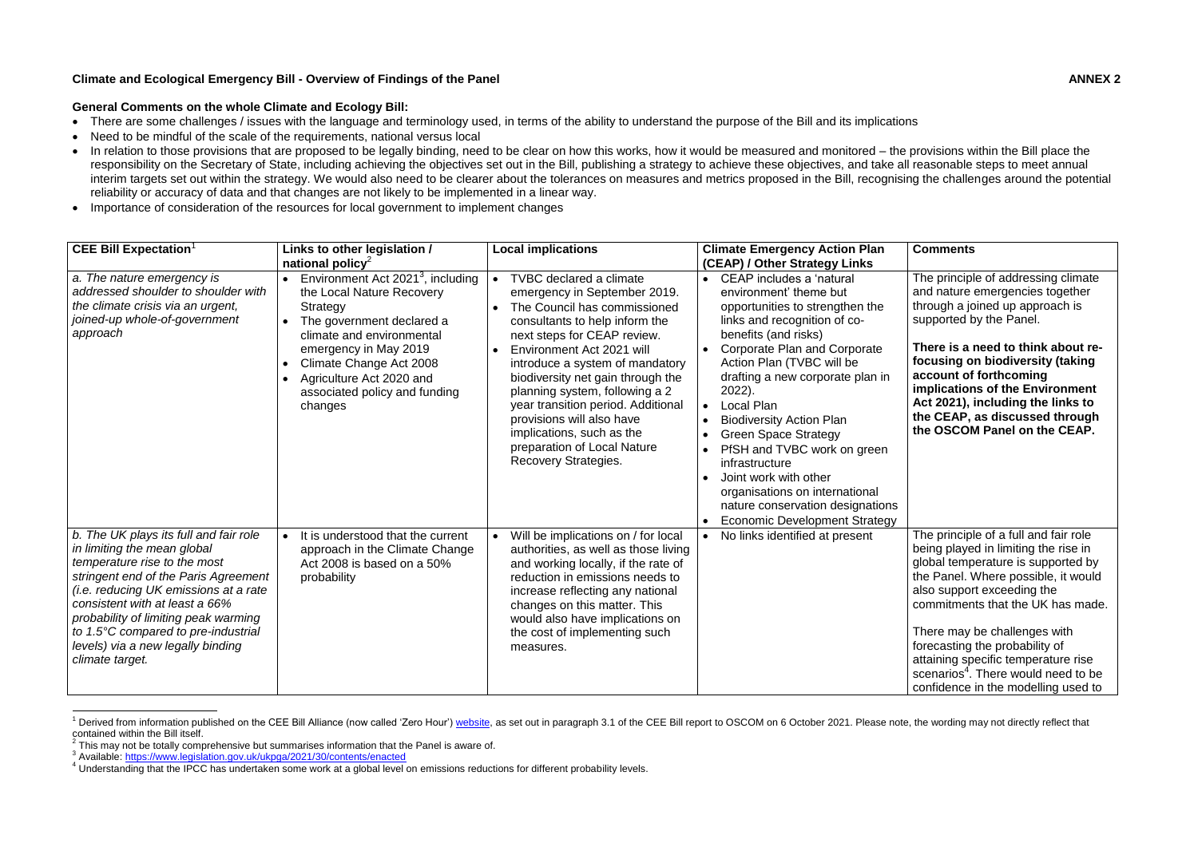## **Climate and Ecological Emergency Bill - Overview of Findings of the Panel ANNEX 2**

## **General Comments on the whole Climate and Ecology Bill:**

- There are some challenges / issues with the language and terminology used, in terms of the ability to understand the purpose of the Bill and its implications
- Need to be mindful of the scale of the requirements, national versus local
- In relation to those provisions that are proposed to be legally binding, need to be clear on how this works, how it would be measured and monitored the provisions within the Bill place the responsibility on the Secretary of State, including achieving the objectives set out in the Bill, publishing a strategy to achieve these objectives, and take all reasonable steps to meet annual interim targets set out within the strategy. We would also need to be clearer about the tolerances on measures and metrics proposed in the Bill, recognising the challenges around the potential reliability or accuracy of data and that changes are not likely to be implemented in a linear way.
- Importance of consideration of the resources for local government to implement changes

| <b>CEE Bill Expectation</b>                                                                                                                                                                                                                                                                                                                                            | Links to other legislation /<br>national policy <sup>2</sup>                                                                                                                                                                                                                 | <b>Local implications</b>                                                                                                                                                                                                                                                                                                                                                                                                                                     | <b>Climate Emergency Action Plan</b><br>(CEAP) / Other Strategy Links                                                                                                                                                                                                                                                                                                                                                                                                                                                                   | <b>Comments</b>                                                                                                                                                                                                                                                                                                                                                                                                                  |
|------------------------------------------------------------------------------------------------------------------------------------------------------------------------------------------------------------------------------------------------------------------------------------------------------------------------------------------------------------------------|------------------------------------------------------------------------------------------------------------------------------------------------------------------------------------------------------------------------------------------------------------------------------|---------------------------------------------------------------------------------------------------------------------------------------------------------------------------------------------------------------------------------------------------------------------------------------------------------------------------------------------------------------------------------------------------------------------------------------------------------------|-----------------------------------------------------------------------------------------------------------------------------------------------------------------------------------------------------------------------------------------------------------------------------------------------------------------------------------------------------------------------------------------------------------------------------------------------------------------------------------------------------------------------------------------|----------------------------------------------------------------------------------------------------------------------------------------------------------------------------------------------------------------------------------------------------------------------------------------------------------------------------------------------------------------------------------------------------------------------------------|
| a. The nature emergency is<br>addressed shoulder to shoulder with<br>the climate crisis via an urgent,<br>joined-up whole-of-government<br>approach                                                                                                                                                                                                                    | Environment Act 2021 <sup>3</sup> , including<br>the Local Nature Recovery<br>Strategy<br>The government declared a<br>climate and environmental<br>emergency in May 2019<br>Climate Change Act 2008<br>Agriculture Act 2020 and<br>associated policy and funding<br>changes | <b>TVBC</b> declared a climate<br>emergency in September 2019.<br>The Council has commissioned<br>consultants to help inform the<br>next steps for CEAP review.<br>Environment Act 2021 will<br>introduce a system of mandatory<br>biodiversity net gain through the<br>planning system, following a 2<br>year transition period. Additional<br>provisions will also have<br>implications, such as the<br>preparation of Local Nature<br>Recovery Strategies. | CEAP includes a 'natural<br>environment' theme but<br>opportunities to strengthen the<br>links and recognition of co-<br>benefits (and risks)<br><b>Corporate Plan and Corporate</b><br>Action Plan (TVBC will be<br>drafting a new corporate plan in<br>2022).<br>Local Plan<br><b>Biodiversity Action Plan</b><br><b>Green Space Strategy</b><br>PfSH and TVBC work on green<br>infrastructure<br>Joint work with other<br>organisations on international<br>nature conservation designations<br><b>Economic Development Strategy</b> | The principle of addressing climate<br>and nature emergencies together<br>through a joined up approach is<br>supported by the Panel.<br>There is a need to think about re-<br>focusing on biodiversity (taking<br>account of forthcoming<br>implications of the Environment<br>Act 2021), including the links to<br>the CEAP, as discussed through<br>the OSCOM Panel on the CEAP.                                               |
| b. The UK plays its full and fair role<br>in limiting the mean global<br>temperature rise to the most<br>stringent end of the Paris Agreement<br><i>(i.e. reducing UK emissions at a rate</i><br>consistent with at least a 66%<br>probability of limiting peak warming<br>to 1.5°C compared to pre-industrial<br>levels) via a new legally binding<br>climate target. | It is understood that the current<br>$\bullet$<br>approach in the Climate Change<br>Act 2008 is based on a 50%<br>probability                                                                                                                                                | Will be implications on / for local<br>authorities, as well as those living<br>and working locally, if the rate of<br>reduction in emissions needs to<br>increase reflecting any national<br>changes on this matter. This<br>would also have implications on<br>the cost of implementing such<br>measures.                                                                                                                                                    | No links identified at present                                                                                                                                                                                                                                                                                                                                                                                                                                                                                                          | The principle of a full and fair role<br>being played in limiting the rise in<br>global temperature is supported by<br>the Panel. Where possible, it would<br>also support exceeding the<br>commitments that the UK has made.<br>There may be challenges with<br>forecasting the probability of<br>attaining specific temperature rise<br>scenarios <sup>4</sup> . There would need to be<br>confidence in the modelling used to |

<sup>1</sup> <sup>1</sup> Derived from information published on the CEE Bill Alliance (now called 'Zero Hour') [website,](https://www.ceebill.uk/) as set out in paragraph 3.1 of the CEE Bill report to OSCOM on 6 October 2021. Please note, the wording may not directly ref contained within the Bill itself.

 $2$  This may not be totally comprehensive but summarises information that the Panel is aware of.

<sup>&</sup>lt;sup>3</sup> Available:<https://www.legislation.gov.uk/ukpga/2021/30/contents/enacted>

<sup>4</sup> Understanding that the IPCC has undertaken some work at a global level on emissions reductions for different probability levels.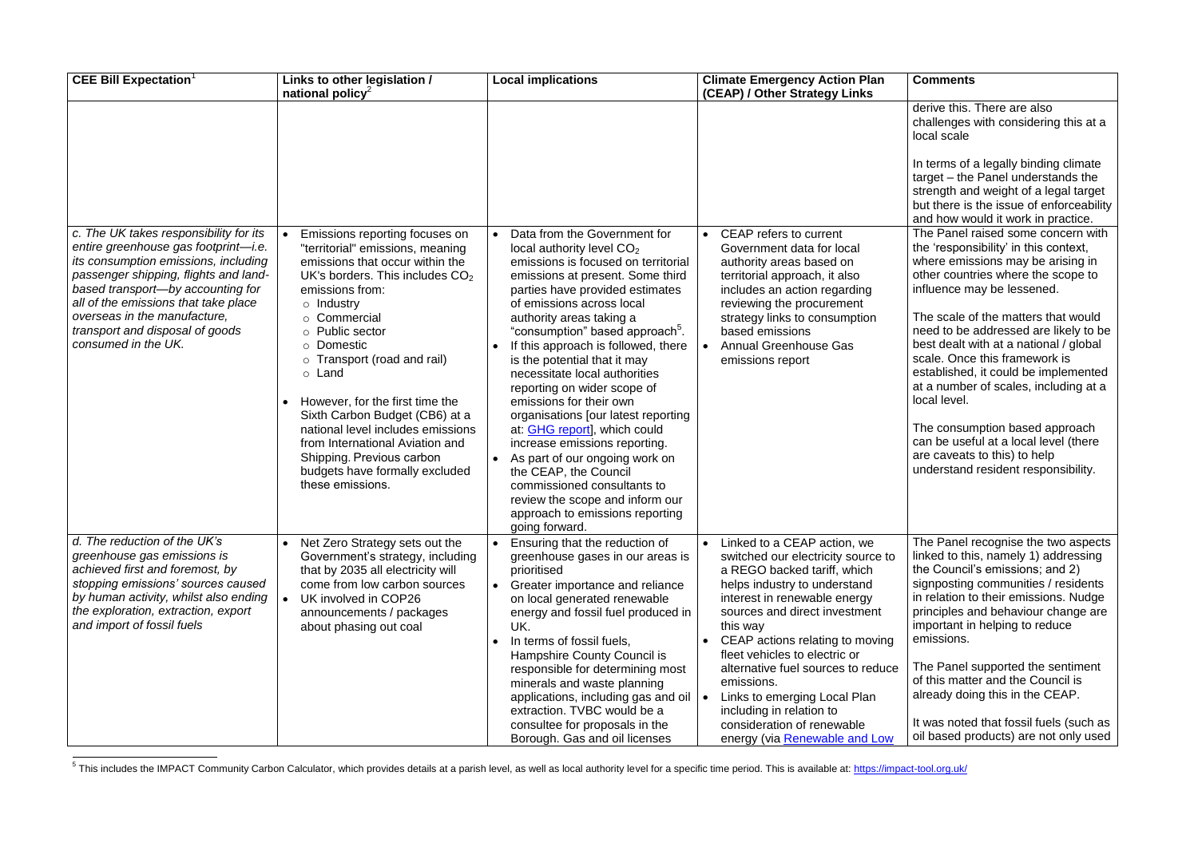| <b>Comments</b>                                                                                                                                                                                                                                                                       |
|---------------------------------------------------------------------------------------------------------------------------------------------------------------------------------------------------------------------------------------------------------------------------------------|
| derive this. There are also<br>challenges with considering this at a<br>local scale                                                                                                                                                                                                   |
| In terms of a legally binding climate<br>target - the Panel understands the<br>strength and weight of a legal target<br>but there is the issue of enforceability<br>and how would it work in practice.<br>The Panel raised some concern with                                          |
| the 'responsibility' in this context,<br>where emissions may be arising in<br>other countries where the scope to<br>influence may be lessened.                                                                                                                                        |
| The scale of the matters that would<br>need to be addressed are likely to be<br>best dealt with at a national / global<br>scale. Once this framework is<br>established, it could be implemented<br>at a number of scales, including at a<br>local level.                              |
| The consumption based approach<br>can be useful at a local level (there<br>are caveats to this) to help<br>understand resident responsibility.                                                                                                                                        |
| The Panel recognise the two aspects<br>linked to this, namely 1) addressing<br>the Council's emissions; and 2)<br>signposting communities / residents<br>in relation to their emissions. Nudge<br>principles and behaviour change are<br>important in helping to reduce<br>emissions. |
| The Panel supported the sentiment<br>of this matter and the Council is<br>already doing this in the CEAP.                                                                                                                                                                             |
| It was noted that fossil fuels (such as<br>oil based products) are not only used                                                                                                                                                                                                      |

| <b>CEE Bill Expectation</b> <sup>1</sup>                                                                                                                                                                                                                                                                                               | Links to other legislation /<br>national policy <sup>2</sup>                                                                                                                                                                                                                                                                                                                                                                                                                                                                                      | <b>Local implications</b>                                                                                                                                                                                                                                                                                                                                                                                                                                                                                                                                                                                                                                                                                                                                                                    | <b>Climate Emergency Action Plan</b><br>(CEAP) / Other Strategy Links                                                                                                                                                                                                                                                                                                                                                                                                                             |
|----------------------------------------------------------------------------------------------------------------------------------------------------------------------------------------------------------------------------------------------------------------------------------------------------------------------------------------|---------------------------------------------------------------------------------------------------------------------------------------------------------------------------------------------------------------------------------------------------------------------------------------------------------------------------------------------------------------------------------------------------------------------------------------------------------------------------------------------------------------------------------------------------|----------------------------------------------------------------------------------------------------------------------------------------------------------------------------------------------------------------------------------------------------------------------------------------------------------------------------------------------------------------------------------------------------------------------------------------------------------------------------------------------------------------------------------------------------------------------------------------------------------------------------------------------------------------------------------------------------------------------------------------------------------------------------------------------|---------------------------------------------------------------------------------------------------------------------------------------------------------------------------------------------------------------------------------------------------------------------------------------------------------------------------------------------------------------------------------------------------------------------------------------------------------------------------------------------------|
|                                                                                                                                                                                                                                                                                                                                        |                                                                                                                                                                                                                                                                                                                                                                                                                                                                                                                                                   |                                                                                                                                                                                                                                                                                                                                                                                                                                                                                                                                                                                                                                                                                                                                                                                              |                                                                                                                                                                                                                                                                                                                                                                                                                                                                                                   |
| c. The UK takes responsibility for its<br>entire greenhouse gas footprint-i.e.<br>its consumption emissions, including<br>passenger shipping, flights and land-<br>based transport-by accounting for<br>all of the emissions that take place<br>overseas in the manufacture,<br>transport and disposal of goods<br>consumed in the UK. | Emissions reporting focuses on<br>"territorial" emissions, meaning<br>emissions that occur within the<br>UK's borders. This includes $CO2$<br>emissions from:<br>$\circ$ Industry<br>Commercial<br>Public sector<br>$\circ$<br>Domestic<br>$\circ$<br>Transport (road and rail)<br>$\circ$<br>○ Land<br>However, for the first time the<br>$\bullet$<br>Sixth Carbon Budget (CB6) at a<br>national level includes emissions<br>from International Aviation and<br>Shipping. Previous carbon<br>budgets have formally excluded<br>these emissions. | Data from the Government for<br>$\bullet$<br>local authority level $CO2$<br>emissions is focused on territorial<br>emissions at present. Some third<br>parties have provided estimates<br>of emissions across local<br>authority areas taking a<br>"consumption" based approach <sup>5</sup> .<br>If this approach is followed, there<br>$\bullet$<br>is the potential that it may<br>necessitate local authorities<br>reporting on wider scope of<br>emissions for their own<br>organisations [our latest reporting<br>at: <b>GHG report</b> ], which could<br>increase emissions reporting.<br>As part of our ongoing work on<br>$\bullet$<br>the CEAP, the Council<br>commissioned consultants to<br>review the scope and inform our<br>approach to emissions reporting<br>going forward. | CEAP refers to current<br>$\bullet$<br>Government data for local<br>authority areas based on<br>territorial approach, it also<br>includes an action regarding<br>reviewing the procurement<br>strategy links to consumption<br>based emissions<br><b>Annual Greenhouse Gas</b><br>$\bullet$<br>emissions report                                                                                                                                                                                   |
| d. The reduction of the UK's<br>greenhouse gas emissions is<br>achieved first and foremost, by<br>stopping emissions' sources caused<br>by human activity, whilst also ending<br>the exploration, extraction, export<br>and import of fossil fuels                                                                                     | Net Zero Strategy sets out the<br>Government's strategy, including<br>that by 2035 all electricity will<br>come from low carbon sources<br>UK involved in COP26<br>announcements / packages<br>about phasing out coal                                                                                                                                                                                                                                                                                                                             | Ensuring that the reduction of<br>$\bullet$<br>greenhouse gases in our areas is<br>prioritised<br>Greater importance and reliance<br>$\bullet$<br>on local generated renewable<br>energy and fossil fuel produced in<br>UK.<br>In terms of fossil fuels,<br>$\bullet$<br>Hampshire County Council is<br>responsible for determining most<br>minerals and waste planning<br>applications, including gas and oil<br>extraction. TVBC would be a<br>consultee for proposals in the<br>Borough. Gas and oil licenses                                                                                                                                                                                                                                                                             | Linked to a CEAP action, we<br>$\bullet$<br>switched our electricity source to<br>a REGO backed tariff, which<br>helps industry to understand<br>interest in renewable energy<br>sources and direct investment<br>this way<br>CEAP actions relating to moving<br>fleet vehicles to electric or<br>alternative fuel sources to reduce<br>emissions.<br>Links to emerging Local Plan<br>$\bullet$<br>including in relation to<br>consideration of renewable<br>energy (via <b>Renewable and Low</b> |

5 This includes the IMPACT Community Carbon Calculator, which provides details at a parish level, as well as local authority level for a specific time period. This is available at:<https://impact-tool.org.uk/>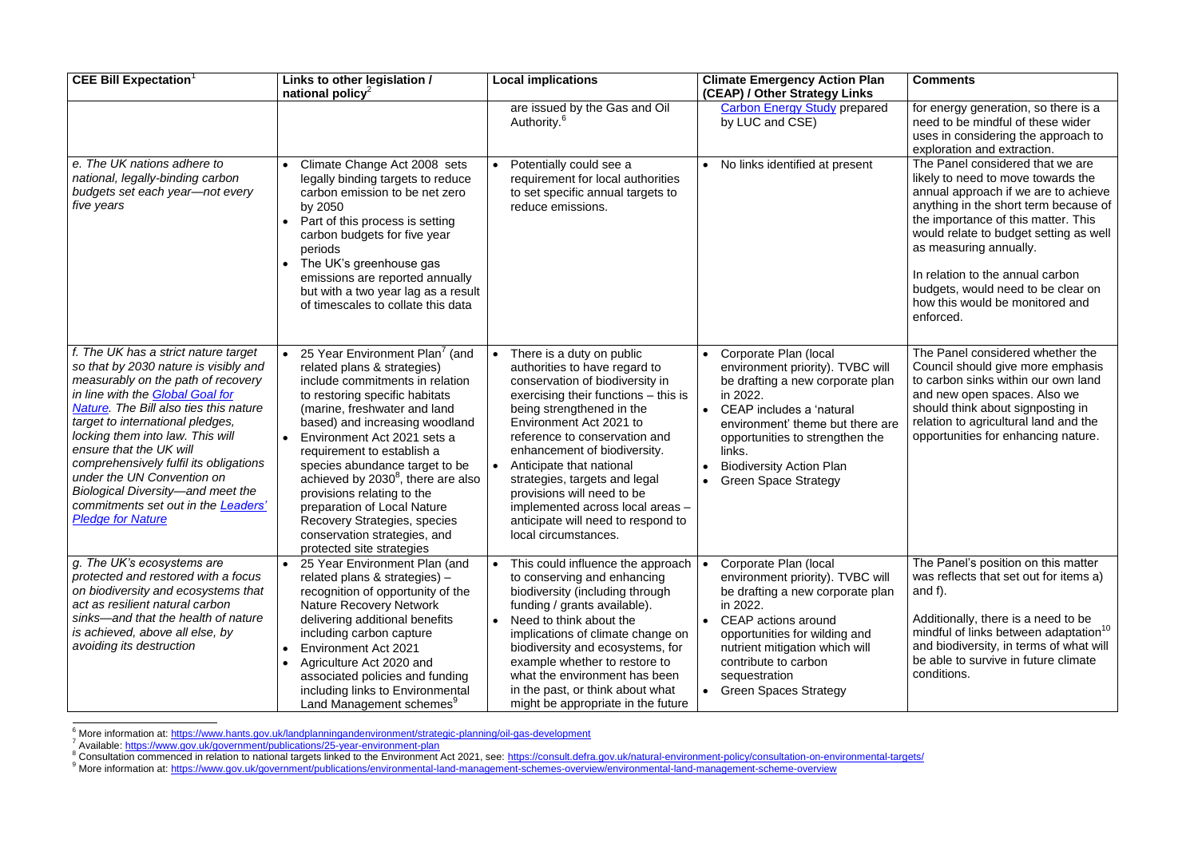| <b>CEE Bill Expectation</b>                                                                                                                                                                                                                                                                                                                                                                                                                                                                        | Links to other legislation /<br>national policy <sup>2</sup>                                                                                                                                                                                                                                                                                                                                                                                                                                                       | <b>Local implications</b>                                                                                                                                                                                                                                                                                                                                                                                                                                                | <b>Climate Emergency Action Plan</b><br>(CEAP) / Other Strategy Links                                                                                                                                                                                                                      | <b>Comments</b>                                                                                                                                                                                                                                                                                                                                                                              |
|----------------------------------------------------------------------------------------------------------------------------------------------------------------------------------------------------------------------------------------------------------------------------------------------------------------------------------------------------------------------------------------------------------------------------------------------------------------------------------------------------|--------------------------------------------------------------------------------------------------------------------------------------------------------------------------------------------------------------------------------------------------------------------------------------------------------------------------------------------------------------------------------------------------------------------------------------------------------------------------------------------------------------------|--------------------------------------------------------------------------------------------------------------------------------------------------------------------------------------------------------------------------------------------------------------------------------------------------------------------------------------------------------------------------------------------------------------------------------------------------------------------------|--------------------------------------------------------------------------------------------------------------------------------------------------------------------------------------------------------------------------------------------------------------------------------------------|----------------------------------------------------------------------------------------------------------------------------------------------------------------------------------------------------------------------------------------------------------------------------------------------------------------------------------------------------------------------------------------------|
|                                                                                                                                                                                                                                                                                                                                                                                                                                                                                                    |                                                                                                                                                                                                                                                                                                                                                                                                                                                                                                                    | are issued by the Gas and Oil<br>Authority. <sup>6</sup>                                                                                                                                                                                                                                                                                                                                                                                                                 | <b>Carbon Energy Study prepared</b><br>by LUC and CSE)                                                                                                                                                                                                                                     | for energy generation, so there is a<br>need to be mindful of these wider<br>uses in considering the approach to<br>exploration and extraction.                                                                                                                                                                                                                                              |
| e. The UK nations adhere to<br>national, legally-binding carbon<br>budgets set each year-not every<br>five years                                                                                                                                                                                                                                                                                                                                                                                   | Climate Change Act 2008 sets<br>legally binding targets to reduce<br>carbon emission to be net zero<br>by 2050<br>Part of this process is setting<br>carbon budgets for five year<br>periods<br>The UK's greenhouse gas<br>emissions are reported annually<br>but with a two year lag as a result<br>of timescales to collate this data                                                                                                                                                                            | Potentially could see a<br>$\bullet$<br>requirement for local authorities<br>to set specific annual targets to<br>reduce emissions.                                                                                                                                                                                                                                                                                                                                      | • No links identified at present                                                                                                                                                                                                                                                           | The Panel considered that we are<br>likely to need to move towards the<br>annual approach if we are to achieve<br>anything in the short term because of<br>the importance of this matter. This<br>would relate to budget setting as well<br>as measuring annually.<br>In relation to the annual carbon<br>budgets, would need to be clear on<br>how this would be monitored and<br>enforced. |
| f. The UK has a strict nature target<br>so that by 2030 nature is visibly and<br>measurably on the path of recovery<br>in line with the <b>Global Goal for</b><br>Nature. The Bill also ties this nature<br>target to international pledges,<br>locking them into law. This will<br>ensure that the UK will<br>comprehensively fulfil its obligations<br>under the UN Convention on<br>Biological Diversity-and meet the<br>commitments set out in the <b>Leaders'</b><br><b>Pledge for Nature</b> | 25 Year Environment Plan <sup>7</sup> (and<br>related plans & strategies)<br>include commitments in relation<br>to restoring specific habitats<br>(marine, freshwater and land<br>based) and increasing woodland<br>Environment Act 2021 sets a<br>requirement to establish a<br>species abundance target to be<br>achieved by $2030^8$ , there are also<br>provisions relating to the<br>preparation of Local Nature<br>Recovery Strategies, species<br>conservation strategies, and<br>protected site strategies | There is a duty on public<br>authorities to have regard to<br>conservation of biodiversity in<br>exercising their functions – this is<br>being strengthened in the<br>Environment Act 2021 to<br>reference to conservation and<br>enhancement of biodiversity.<br>Anticipate that national<br>$\bullet$<br>strategies, targets and legal<br>provisions will need to be<br>implemented across local areas -<br>anticipate will need to respond to<br>local circumstances. | • Corporate Plan (local<br>environment priority). TVBC will<br>be drafting a new corporate plan<br>in 2022.<br>CEAP includes a 'natural<br>environment' theme but there are<br>opportunities to strengthen the<br>links.<br><b>Biodiversity Action Plan</b><br><b>Green Space Strategy</b> | The Panel considered whether the<br>Council should give more emphasis<br>to carbon sinks within our own land<br>and new open spaces. Also we<br>should think about signposting in<br>relation to agricultural land and the<br>opportunities for enhancing nature.                                                                                                                            |
| g. The UK's ecosystems are<br>protected and restored with a focus<br>on biodiversity and ecosystems that<br>act as resilient natural carbon<br>sinks—and that the health of nature<br>is achieved, above all else, by<br>avoiding its destruction                                                                                                                                                                                                                                                  | 25 Year Environment Plan (and<br>related plans & strategies) -<br>recognition of opportunity of the<br><b>Nature Recovery Network</b><br>delivering additional benefits<br>including carbon capture<br><b>Environment Act 2021</b><br>Agriculture Act 2020 and<br>associated policies and funding<br>including links to Environmental<br>Land Management schemes <sup>9</sup>                                                                                                                                      | This could influence the approach<br>to conserving and enhancing<br>biodiversity (including through<br>funding / grants available).<br>Need to think about the<br>$\bullet$<br>implications of climate change on<br>biodiversity and ecosystems, for<br>example whether to restore to<br>what the environment has been<br>in the past, or think about what<br>might be appropriate in the future                                                                         | Corporate Plan (local<br>environment priority). TVBC will<br>be drafting a new corporate plan<br>in 2022.<br>CEAP actions around<br>opportunities for wilding and<br>nutrient mitigation which will<br>contribute to carbon<br>sequestration<br>• Green Spaces Strategy                    | The Panel's position on this matter<br>was reflects that set out for items a)<br>and $f$ ).<br>Additionally, there is a need to be<br>mindful of links between adaptation <sup>10</sup><br>and biodiversity, in terms of what will<br>be able to survive in future climate<br>conditions.                                                                                                    |

<sup>6</sup> More information at: <u>https://www.hants.gov.uk/landplanningandenvironment/strategic-planning/oil-gas-development<br><sup>7</sup> Available: <u>https://www.gov.uk/government/publications/25-year-environment-plan</u></u>

1

<sup>8</sup> Consultation commenced in relation to national targets linked to the Environment Act 2021, see:<https://consult.defra.gov.uk/natural-environment-policy/consultation-on-environmental-targets/>

9 More information at:<https://www.gov.uk/government/publications/environmental-land-management-schemes-overview/environmental-land-management-scheme-overview>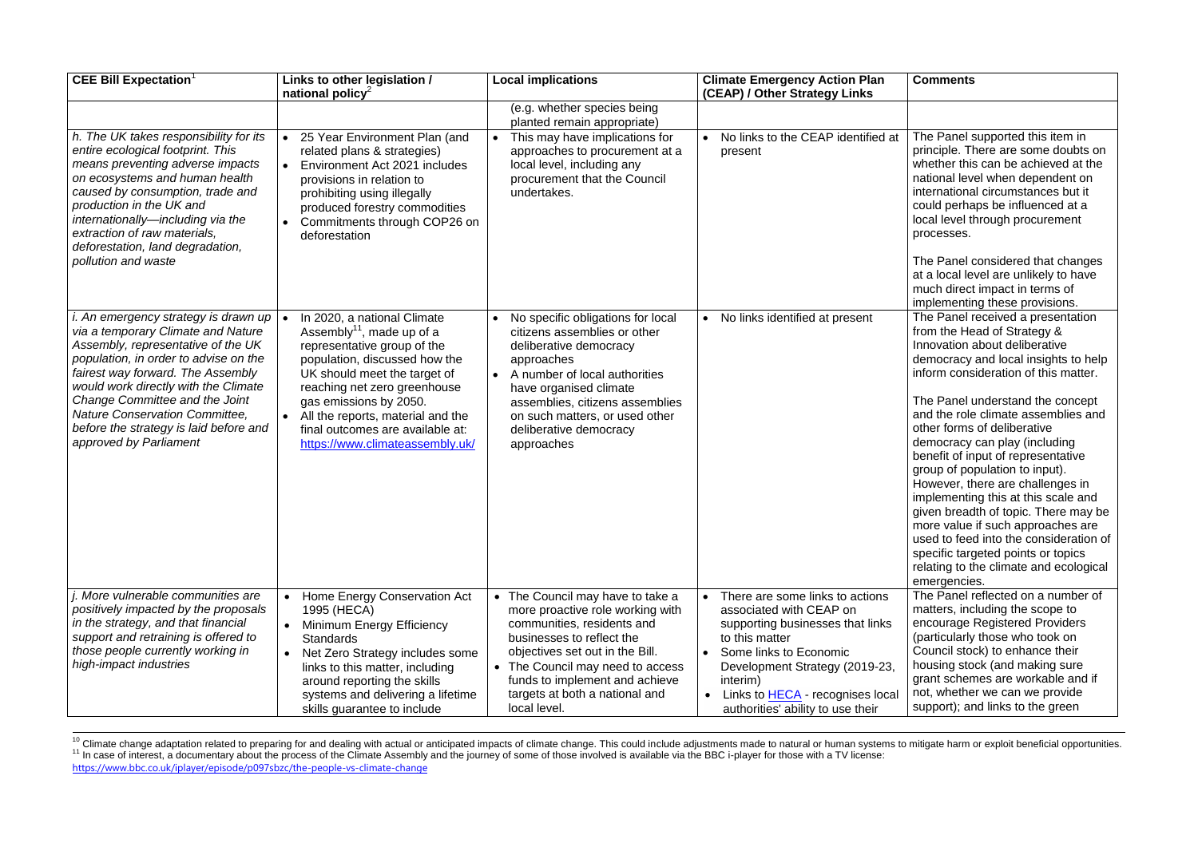| <b>CEE Bill Expectation</b> <sup>1</sup>                                                                                                                                                                                                                                                                                                                                                | Links to other legislation /<br>national policy <sup>2</sup>                                                                                                                                                                                                                                                                               | <b>Local implications</b>                                                                                                                                                                                                                                                                      | <b>Climate Emergency Action Plan</b><br>(CEAP) / Other Strategy Links                                                                                                                                                                                                    | <b>Comments</b>                                                                                                                                                                                                                                                                                                                                                                                                                                                                                                                                                                                                                                                                                        |
|-----------------------------------------------------------------------------------------------------------------------------------------------------------------------------------------------------------------------------------------------------------------------------------------------------------------------------------------------------------------------------------------|--------------------------------------------------------------------------------------------------------------------------------------------------------------------------------------------------------------------------------------------------------------------------------------------------------------------------------------------|------------------------------------------------------------------------------------------------------------------------------------------------------------------------------------------------------------------------------------------------------------------------------------------------|--------------------------------------------------------------------------------------------------------------------------------------------------------------------------------------------------------------------------------------------------------------------------|--------------------------------------------------------------------------------------------------------------------------------------------------------------------------------------------------------------------------------------------------------------------------------------------------------------------------------------------------------------------------------------------------------------------------------------------------------------------------------------------------------------------------------------------------------------------------------------------------------------------------------------------------------------------------------------------------------|
| h. The UK takes responsibility for its<br>entire ecological footprint. This<br>means preventing adverse impacts<br>on ecosystems and human health<br>caused by consumption, trade and<br>production in the UK and<br>internationally-including via the<br>extraction of raw materials,<br>deforestation, land degradation,<br>pollution and waste                                       | 25 Year Environment Plan (and<br>related plans & strategies)<br>Environment Act 2021 includes<br>$\bullet$<br>provisions in relation to<br>prohibiting using illegally<br>produced forestry commodities<br>Commitments through COP26 on<br>deforestation                                                                                   | (e.g. whether species being<br>planted remain appropriate)<br>This may have implications for<br>approaches to procurement at a<br>local level, including any<br>procurement that the Council<br>undertakes.                                                                                    | No links to the CEAP identified at<br>present                                                                                                                                                                                                                            | The Panel supported this item in<br>principle. There are some doubts on<br>whether this can be achieved at the<br>national level when dependent on<br>international circumstances but it<br>could perhaps be influenced at a<br>local level through procurement<br>processes.<br>The Panel considered that changes<br>at a local level are unlikely to have<br>much direct impact in terms of<br>implementing these provisions.                                                                                                                                                                                                                                                                        |
| i. An emergency strategy is drawn up  <br>via a temporary Climate and Nature<br>Assembly, representative of the UK<br>population, in order to advise on the<br>fairest way forward. The Assembly<br>would work directly with the Climate<br>Change Committee and the Joint<br><b>Nature Conservation Committee,</b><br>before the strategy is laid before and<br>approved by Parliament | In 2020, a national Climate<br>Assembly <sup>11</sup> , made up of a<br>representative group of the<br>population, discussed how the<br>UK should meet the target of<br>reaching net zero greenhouse<br>gas emissions by 2050.<br>All the reports, material and the<br>final outcomes are available at:<br>https://www.climateassembly.uk/ | No specific obligations for local<br>citizens assemblies or other<br>deliberative democracy<br>approaches<br>A number of local authorities<br>$\bullet$<br>have organised climate<br>assemblies, citizens assemblies<br>on such matters, or used other<br>deliberative democracy<br>approaches | No links identified at present                                                                                                                                                                                                                                           | The Panel received a presentation<br>from the Head of Strategy &<br>Innovation about deliberative<br>democracy and local insights to help<br>inform consideration of this matter.<br>The Panel understand the concept<br>and the role climate assemblies and<br>other forms of deliberative<br>democracy can play (including<br>benefit of input of representative<br>group of population to input).<br>However, there are challenges in<br>implementing this at this scale and<br>given breadth of topic. There may be<br>more value if such approaches are<br>used to feed into the consideration of<br>specific targeted points or topics<br>relating to the climate and ecological<br>emergencies. |
| j. More vulnerable communities are<br>positively impacted by the proposals<br>in the strategy, and that financial<br>support and retraining is offered to<br>those people currently working in<br>high-impact industries                                                                                                                                                                | Home Energy Conservation Act<br>1995 (HECA)<br>Minimum Energy Efficiency<br><b>Standards</b><br>Net Zero Strategy includes some<br>links to this matter, including<br>around reporting the skills<br>systems and delivering a lifetime<br>skills guarantee to include                                                                      | • The Council may have to take a<br>more proactive role working with<br>communities, residents and<br>businesses to reflect the<br>objectives set out in the Bill.<br>• The Council may need to access<br>funds to implement and achieve<br>targets at both a national and<br>local level.     | There are some links to actions<br>associated with CEAP on<br>supporting businesses that links<br>to this matter<br>Some links to Economic<br>Development Strategy (2019-23,<br>interim)<br>Links to <b>HECA</b> - recognises local<br>authorities' ability to use their | The Panel reflected on a number of<br>matters, including the scope to<br>encourage Registered Providers<br>(particularly those who took on<br>Council stock) to enhance their<br>housing stock (and making sure<br>grant schemes are workable and if<br>not, whether we can we provide<br>support); and links to the green                                                                                                                                                                                                                                                                                                                                                                             |

1 <sup>10</sup> Climate change adaptation related to preparing for and dealing with actual or anticipated impacts of climate change. This could include adjustments made to natural or human systems to mitigate harm or exploit benefici <sup>11</sup> In case of interest, a documentary about the process of the Climate Assembly and the journey of some of those involved is available via the BBC i-player for those with a TV license: <https://www.bbc.co.uk/iplayer/episode/p097sbzc/the-people-vs-climate-change>